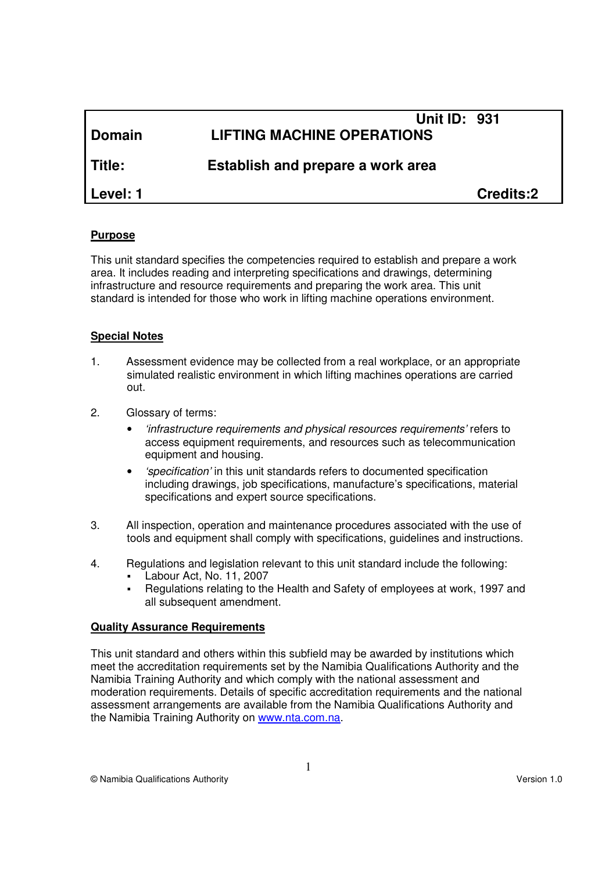| <b>Domain</b> | <b>Unit ID: 931</b><br><b>LIFTING MACHINE OPERATIONS</b> |                  |
|---------------|----------------------------------------------------------|------------------|
| Title:        | Establish and prepare a work area                        |                  |
| Level: 1      |                                                          | <b>Credits:2</b> |

#### **Purpose**

This unit standard specifies the competencies required to establish and prepare a work area. It includes reading and interpreting specifications and drawings, determining infrastructure and resource requirements and preparing the work area. This unit standard is intended for those who work in lifting machine operations environment.

#### **Special Notes**

- 1. Assessment evidence may be collected from a real workplace, or an appropriate simulated realistic environment in which lifting machines operations are carried out.
- 2. Glossary of terms:
	- 'infrastructure requirements and physical resources requirements' refers to access equipment requirements, and resources such as telecommunication equipment and housing.
	- 'specification' in this unit standards refers to documented specification including drawings, job specifications, manufacture's specifications, material specifications and expert source specifications.
- 3. All inspection, operation and maintenance procedures associated with the use of tools and equipment shall comply with specifications, guidelines and instructions.
- 4. Regulations and legislation relevant to this unit standard include the following:
	- Labour Act, No. 11, 2007
	- Regulations relating to the Health and Safety of employees at work, 1997 and all subsequent amendment.

#### **Quality Assurance Requirements**

This unit standard and others within this subfield may be awarded by institutions which meet the accreditation requirements set by the Namibia Qualifications Authority and the Namibia Training Authority and which comply with the national assessment and moderation requirements. Details of specific accreditation requirements and the national assessment arrangements are available from the Namibia Qualifications Authority and the Namibia Training Authority on www.nta.com.na.